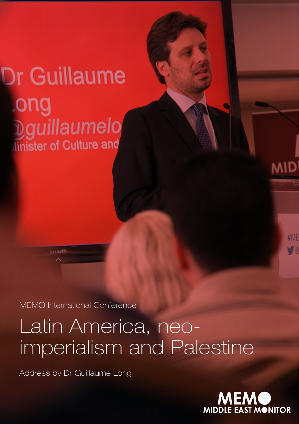## **Dr Guillaume** ong Dguillaumelo linister of Culture and

MEMO International Conference

## Latin America, neoimperialism and Palestine

Address by Dr Guillaume Long

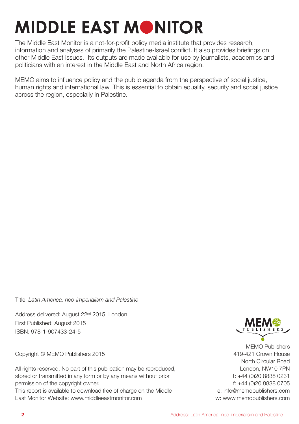## **MIDDLE EAST MONITOR**

The Middle East Monitor is a not-for-profit policy media institute that provides research, information and analyses of primarily the Palestine-Israel conflict. It also provides briefings on other Middle East issues. Its outputs are made available for use by journalists, academics and politicians with an interest in the Middle East and North Africa region.

MEMO aims to influence policy and the public agenda from the perspective of social justice, human rights and international law. This is essential to obtain equality, security and social justice across the region, especially in Palestine.

Title: *Latin America, neo-imperialism and Palestine*

Address delivered: August 22<sup>nd</sup> 2015; London First Published: August 2015 ISBN: 978-1-907433-24-5

Copyright © MEMO Publishers 2015

All rights reserved. No part of this publication may be reproduced. stored or transmitted in any form or by any means without prior permission of the copyright owner.

This report is available to download free of charge on the Middle East Monitor Website: www.middleeastmonitor.com



MEMO Publishers 419-421 Crown House North Circular Road London, NW10 7PN t: +44 (0)20 8838 0231 f: +44 (0)20 8838 0705 e: info@memopublishers.com w: www.memopublishers.com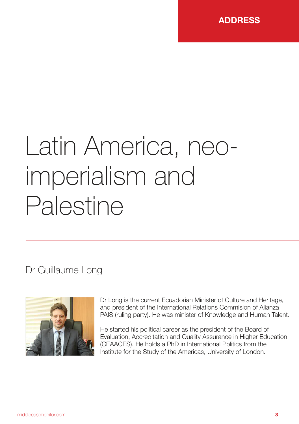

# Latin America, neoimperialism and Palestine

Dr Guillaume Long



Dr Long is the current Ecuadorian Minister of Culture and Heritage, and president of the International Relations Commision of Alianza PAIS (ruling party). He was minister of Knowledge and Human Talent.

He started his political career as the president of the Board of Evaluation, Accreditation and Quality Assurance in Higher Education (CEAACES). He holds a PhD in International Politics from the Institute for the Study of the Americas, University of London.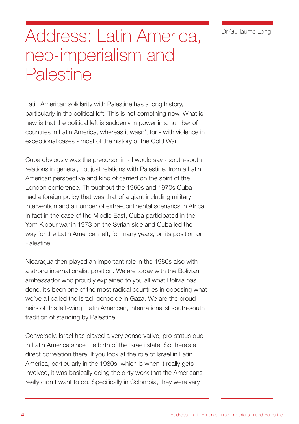Dr Guillaume Long

### Address: Latin America, neo-imperialism and **Palestine**

Latin American solidarity with Palestine has a long history, particularly in the political left. This is not something new. What is new is that the political left is suddenly in power in a number of countries in Latin America, whereas it wasn't for - with violence in exceptional cases - most of the history of the Cold War.

Cuba obviously was the precursor in - I would say - south-south relations in general, not just relations with Palestine, from a Latin American perspective and kind of carried on the spirit of the London conference. Throughout the 1960s and 1970s Cuba had a foreign policy that was that of a giant including military intervention and a number of extra-continental scenarios in Africa. In fact in the case of the Middle East, Cuba participated in the Yom Kippur war in 1973 on the Syrian side and Cuba led the way for the Latin American left, for many years, on its position on Palestine.

Nicaragua then played an important role in the 1980s also with a strong internationalist position. We are today with the Bolivian ambassador who proudly explained to you all what Bolivia has done, it's been one of the most radical countries in opposing what we've all called the Israeli genocide in Gaza. We are the proud heirs of this left-wing, Latin American, internationalist south-south tradition of standing by Palestine.

Conversely, Israel has played a very conservative, pro-status quo in Latin America since the birth of the Israeli state. So there's a direct correlation there. If you look at the role of Israel in Latin America, particularly in the 1980s, which is when it really gets involved, it was basically doing the dirty work that the Americans really didn't want to do. Specifically in Colombia, they were very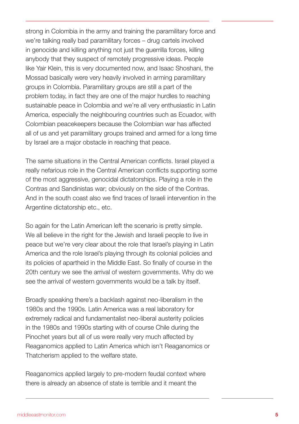strong in Colombia in the army and training the paramilitary force and we're talking really bad paramilitary forces – drug cartels involved in genocide and killing anything not just the guerrilla forces, killing anybody that they suspect of remotely progressive ideas. People like Yair Klein, this is very documented now, and Isaac Shoshani, the Mossad basically were very heavily involved in arming paramilitary groups in Colombia. Paramilitary groups are still a part of the problem today, in fact they are one of the major hurdles to reaching sustainable peace in Colombia and we're all very enthusiastic in Latin America, especially the neighbouring countries such as Ecuador, with Colombian peacekeepers because the Colombian war has affected all of us and yet paramilitary groups trained and armed for a long time by Israel are a major obstacle in reaching that peace.

The same situations in the Central American conflicts. Israel played a really nefarious role in the Central American conflicts supporting some of the most aggressive, genocidal dictatorships. Playing a role in the Contras and Sandinistas war; obviously on the side of the Contras. And in the south coast also we find traces of Israeli intervention in the Argentine dictatorship etc., etc.

So again for the Latin American left the scenario is pretty simple. We all believe in the right for the Jewish and Israeli people to live in peace but we're very clear about the role that Israel's playing in Latin America and the role Israel's playing through its colonial policies and its policies of apartheid in the Middle East. So finally of course in the 20th century we see the arrival of western governments. Why do we see the arrival of western governments would be a talk by itself.

Broadly speaking there's a backlash against neo-liberalism in the 1980s and the 1990s. Latin America was a real laboratory for extremely radical and fundamentalist neo-liberal austerity policies in the 1980s and 1990s starting with of course Chile during the Pinochet years but all of us were really very much affected by Reaganomics applied to Latin America which isn't Reaganomics or Thatcherism applied to the welfare state.

Reaganomics applied largely to pre-modern feudal context where there is already an absence of state is terrible and it meant the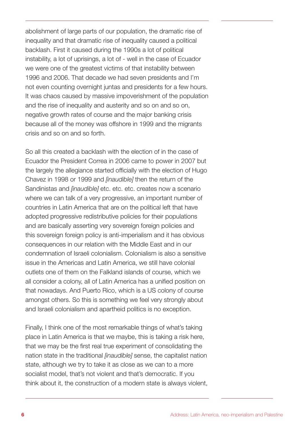abolishment of large parts of our population, the dramatic rise of inequality and that dramatic rise of inequality caused a political backlash. First it caused during the 1990s a lot of political instability, a lot of uprisings, a lot of - well in the case of Ecuador we were one of the greatest victims of that instability between 1996 and 2006. That decade we had seven presidents and I'm not even counting overnight juntas and presidents for a few hours. It was chaos caused by massive impoverishment of the population and the rise of inequality and austerity and so on and so on, negative growth rates of course and the major banking crisis because all of the money was offshore in 1999 and the migrants crisis and so on and so forth.

So all this created a backlash with the election of in the case of Ecuador the President Correa in 2006 came to power in 2007 but the largely the allegiance started officially with the election of Hugo Chavez in 1998 or 1999 and *[inaudible]* then the return of the Sandinistas and *[inaudible]* etc. etc. etc. creates now a scenario where we can talk of a very progressive, an important number of countries in Latin America that are on the political left that have adopted progressive redistributive policies for their populations and are basically asserting very sovereign foreign policies and this sovereign foreign policy is anti-imperialism and it has obvious consequences in our relation with the Middle East and in our condemnation of Israeli colonialism. Colonialism is also a sensitive issue in the Americas and Latin America, we still have colonial outlets one of them on the Falkland islands of course, which we all consider a colony, all of Latin America has a unified position on that nowadays. And Puerto Rico, which is a US colony of course amongst others. So this is something we feel very strongly about and Israeli colonialism and apartheid politics is no exception.

Finally, I think one of the most remarkable things of what's taking place in Latin America is that we maybe, this is taking a risk here, that we may be the first real true experiment of consolidating the nation state in the traditional *[inaudible]* sense, the capitalist nation state, although we try to take it as close as we can to a more socialist model, that's not violent and that's democratic. If you think about it, the construction of a modern state is always violent,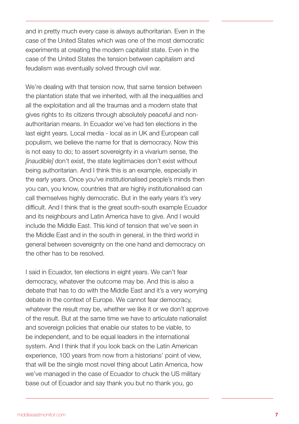and in pretty much every case is always authoritarian. Even in the case of the United States which was one of the most democratic experiments at creating the modern capitalist state. Even in the case of the United States the tension between capitalism and feudalism was eventually solved through civil war.

We're dealing with that tension now, that same tension between the plantation state that we inherited, with all the inequalities and all the exploitation and all the traumas and a modern state that gives rights to its citizens through absolutely peaceful and nonauthoritarian means. In Ecuador we've had ten elections in the last eight years. Local media - local as in UK and European call populism, we believe the name for that is democracy. Now this is not easy to do; to assert sovereignty in a vivarium sense, the *[inaudible]* don't exist, the state legitimacies don't exist without being authoritarian. And I think this is an example, especially in the early years. Once you've institutionalised people's minds then you can, you know, countries that are highly institutionalised can call themselves highly democratic. But in the early years it's very difficult. And I think that is the great south-south example Ecuador and its neighbours and Latin America have to give. And I would include the Middle East. This kind of tension that we've seen in the Middle East and in the south in general, in the third world in general between sovereignty on the one hand and democracy on the other has to be resolved.

I said in Ecuador, ten elections in eight years. We can't fear democracy, whatever the outcome may be. And this is also a debate that has to do with the Middle East and it's a very worrying debate in the context of Europe. We cannot fear democracy, whatever the result may be, whether we like it or we don't approve of the result. But at the same time we have to articulate nationalist and sovereign policies that enable our states to be viable, to be independent, and to be equal leaders in the international system. And I think that if you look back on the Latin American experience, 100 years from now from a historians' point of view, that will be the single most novel thing about Latin America, how we've managed in the case of Ecuador to chuck the US military base out of Ecuador and say thank you but no thank you, go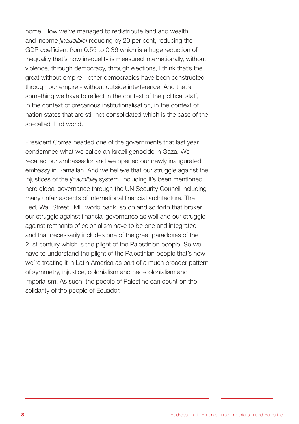home. How we've managed to redistribute land and wealth and income *[inaudible]* reducing by 20 per cent, reducing the GDP coefficient from 0.55 to 0.36 which is a huge reduction of inequality that's how inequality is measured internationally, without violence, through democracy, through elections, I think that's the great without empire - other democracies have been constructed through our empire - without outside interference. And that's something we have to reflect in the context of the political staff, in the context of precarious institutionalisation, in the context of nation states that are still not consolidated which is the case of the so-called third world.

President Correa headed one of the governments that last year condemned what we called an Israeli genocide in Gaza. We recalled our ambassador and we opened our newly inaugurated embassy in Ramallah. And we believe that our struggle against the injustices of the *[inaudible]* system, including it's been mentioned here global governance through the UN Security Council including many unfair aspects of international financial architecture. The Fed, Wall Street, IMF, world bank, so on and so forth that broker our struggle against financial governance as well and our struggle against remnants of colonialism have to be one and integrated and that necessarily includes one of the great paradoxes of the 21st century which is the plight of the Palestinian people. So we have to understand the plight of the Palestinian people that's how we're treating it in Latin America as part of a much broader pattern of symmetry, injustice, colonialism and neo-colonialism and imperialism. As such, the people of Palestine can count on the solidarity of the people of Ecuador.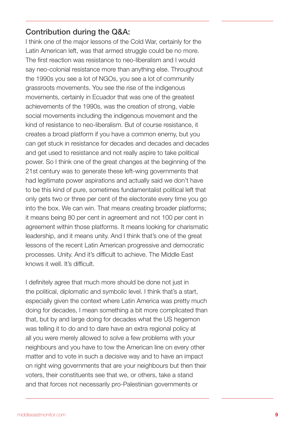#### Contribution during the Q&A:

I think one of the major lessons of the Cold War, certainly for the Latin American left, was that armed struggle could be no more. The first reaction was resistance to neo-liberalism and I would say neo-colonial resistance more than anything else. Throughout the 1990s you see a lot of NGOs, you see a lot of community grassroots movements. You see the rise of the indigenous movements, certainly in Ecuador that was one of the greatest achievements of the 1990s, was the creation of strong, viable social movements including the indigenous movement and the kind of resistance to neo-liberalism. But of course resistance, it creates a broad platform if you have a common enemy, but you can get stuck in resistance for decades and decades and decades and get used to resistance and not really aspire to take political power. So I think one of the great changes at the beginning of the 21st century was to generate these left-wing governments that had legitimate power aspirations and actually said we don't have to be this kind of pure, sometimes fundamentalist political left that only gets two or three per cent of the electorate every time you go into the box. We can win. That means creating broader platforms; it means being 80 per cent in agreement and not 100 per cent in agreement within those platforms. It means looking for charismatic leadership, and it means unity. And I think that's one of the great lessons of the recent Latin American progressive and democratic processes. Unity. And it's difficult to achieve. The Middle East knows it well. It's difficult.

I definitely agree that much more should be done not just in the political, diplomatic and symbolic level. I think that's a start, especially given the context where Latin America was pretty much doing for decades, I mean something a bit more complicated than that, but by and large doing for decades what the US hegemon was telling it to do and to dare have an extra regional policy at all you were merely allowed to solve a few problems with your neighbours and you have to tow the American line on every other matter and to vote in such a decisive way and to have an impact on right wing governments that are your neighbours but then their voters, their constituents see that we, or others, take a stand and that forces not necessarily pro-Palestinian governments or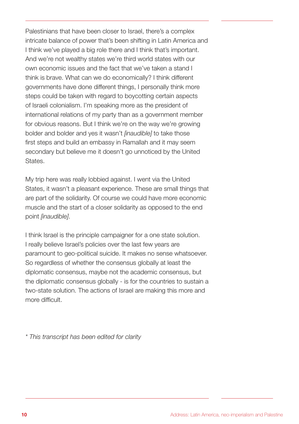Palestinians that have been closer to Israel, there's a complex intricate balance of power that's been shifting in Latin America and I think we've played a big role there and I think that's important. And we're not wealthy states we're third world states with our own economic issues and the fact that we've taken a stand I think is brave. What can we do economically? I think different governments have done different things, I personally think more steps could be taken with regard to boycotting certain aspects of Israeli colonialism. I'm speaking more as the president of international relations of my party than as a government member for obvious reasons. But I think we're on the way we're growing bolder and bolder and yes it wasn't *[inaudible]* to take those first steps and build an embassy in Ramallah and it may seem secondary but believe me it doesn't go unnoticed by the United States.

My trip here was really lobbied against. I went via the United States, it wasn't a pleasant experience. These are small things that are part of the solidarity. Of course we could have more economic muscle and the start of a closer solidarity as opposed to the end point *[inaudible]*.

I think Israel is the principle campaigner for a one state solution. I really believe Israel's policies over the last few years are paramount to geo-political suicide. It makes no sense whatsoever. So regardless of whether the consensus globally at least the diplomatic consensus, maybe not the academic consensus, but the diplomatic consensus globally - is for the countries to sustain a two-state solution. The actions of Israel are making this more and more difficult.

*\* This transcript has been edited for clarity*